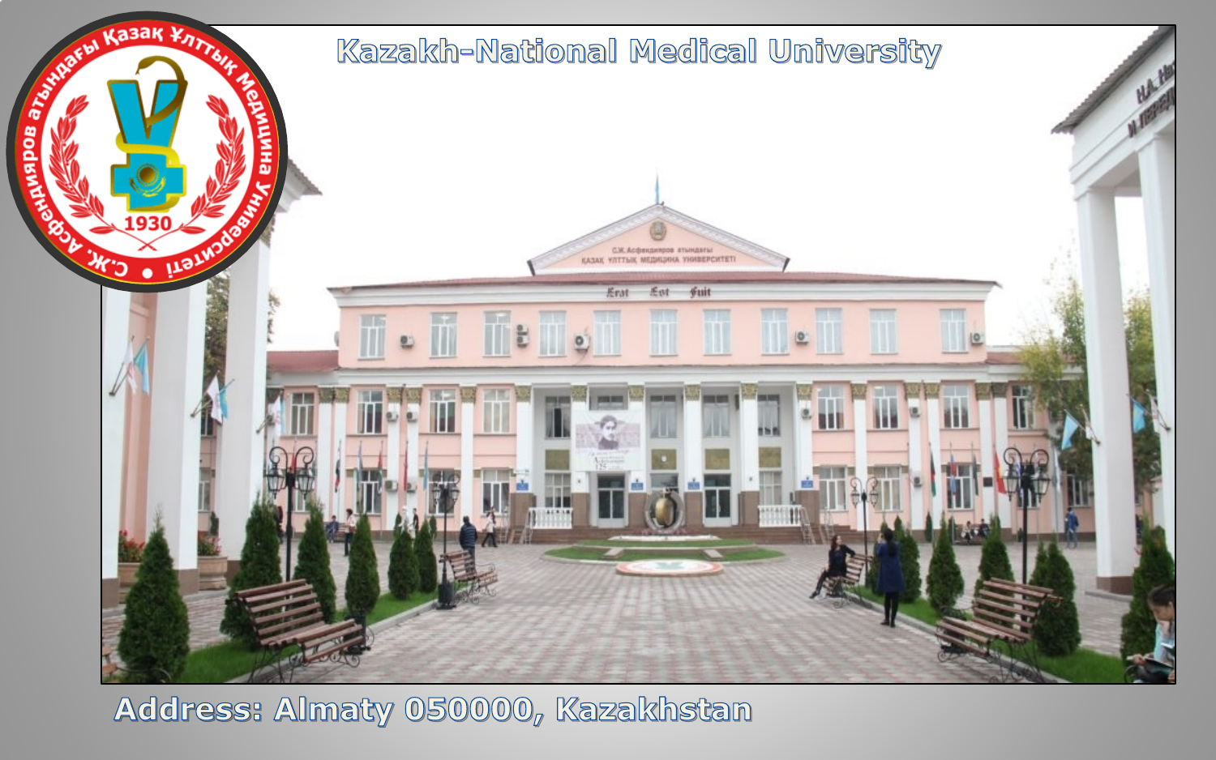

**Address: Almaty 050000, Kazakhstan**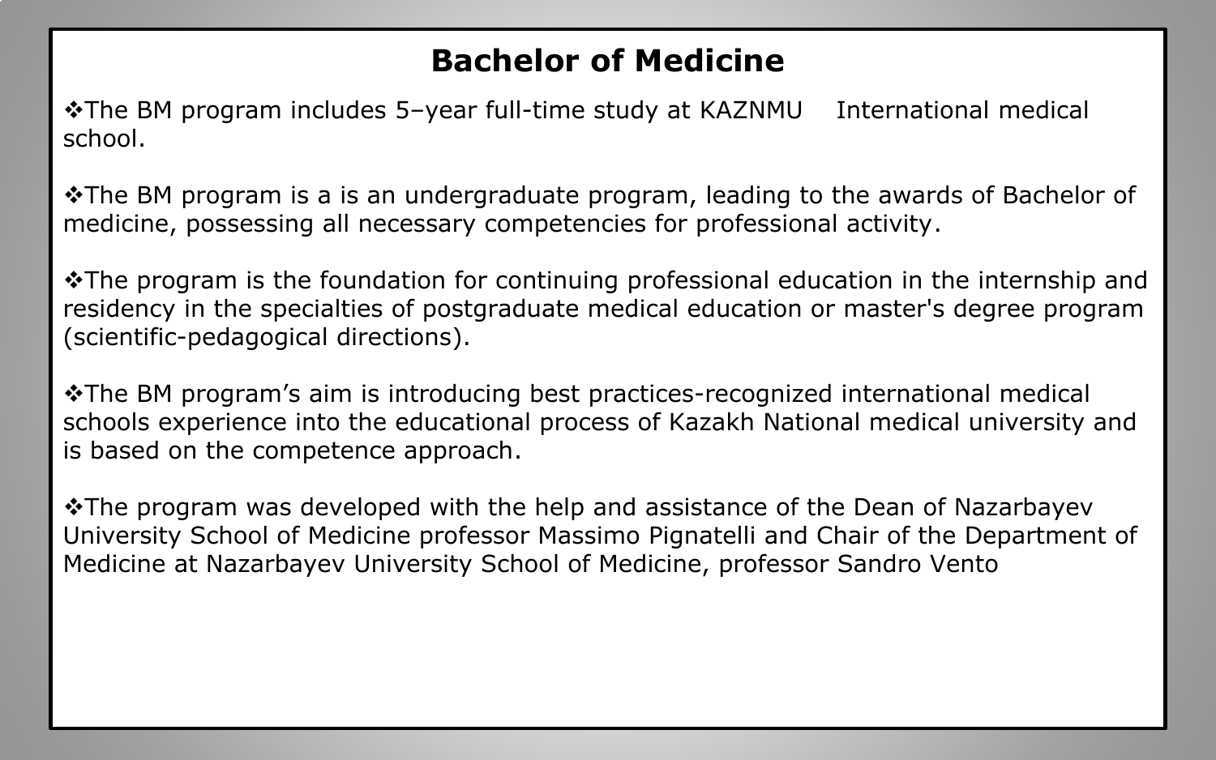# **Bachelor of Medicine**

**\*The BM program includes 5-year full-time study at KAZNMU** International medical school.

 $\cdot$ The BM program is a is an undergraduate program, leading to the awards of Bachelor of medicine, possessing all necessary competencies for professional activity.

 $\cdot$ The program is the foundation for continuing professional education in the internship and residency in the specialties of postgraduate medical education or master's degree program (scientific-pedagogical directions).

\* The BM program's aim is introducing best practices-recognized international medical schools experience into the educational process of Kazakh National medical university and is based on the competence approach.

\* The program was developed with the help and assistance of the Dean of Nazarbayev University School of Medicine professor Massimo Pignatelli and Chair of the Department of Medicine at Nazarbayev University School of Medicine, professor Sandro Vento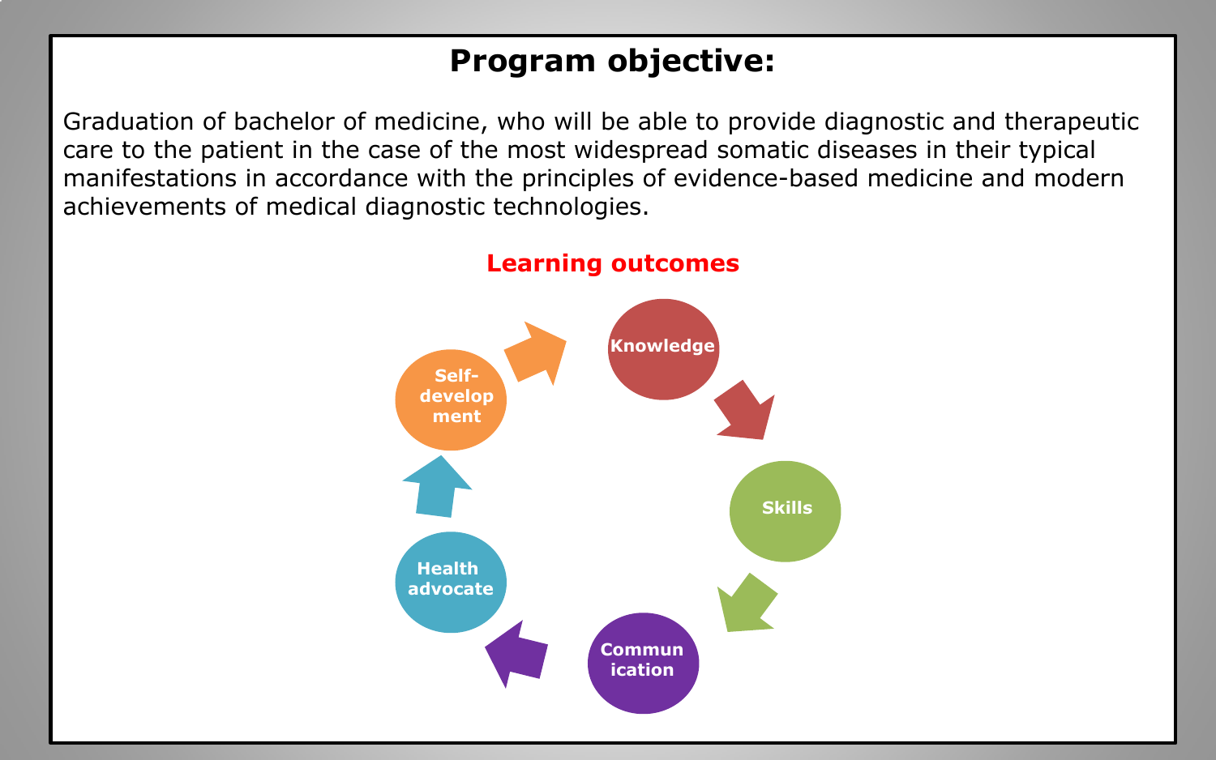# **Program objective:**

Graduation of bachelor of medicine, who will be able to provide diagnostic and therapeutic care to the patient in the case of the most widespread somatic diseases in their typical manifestations in accordance with the principles of evidence-based medicine and modern achievements of medical diagnostic technologies.



#### **Learning outcomes**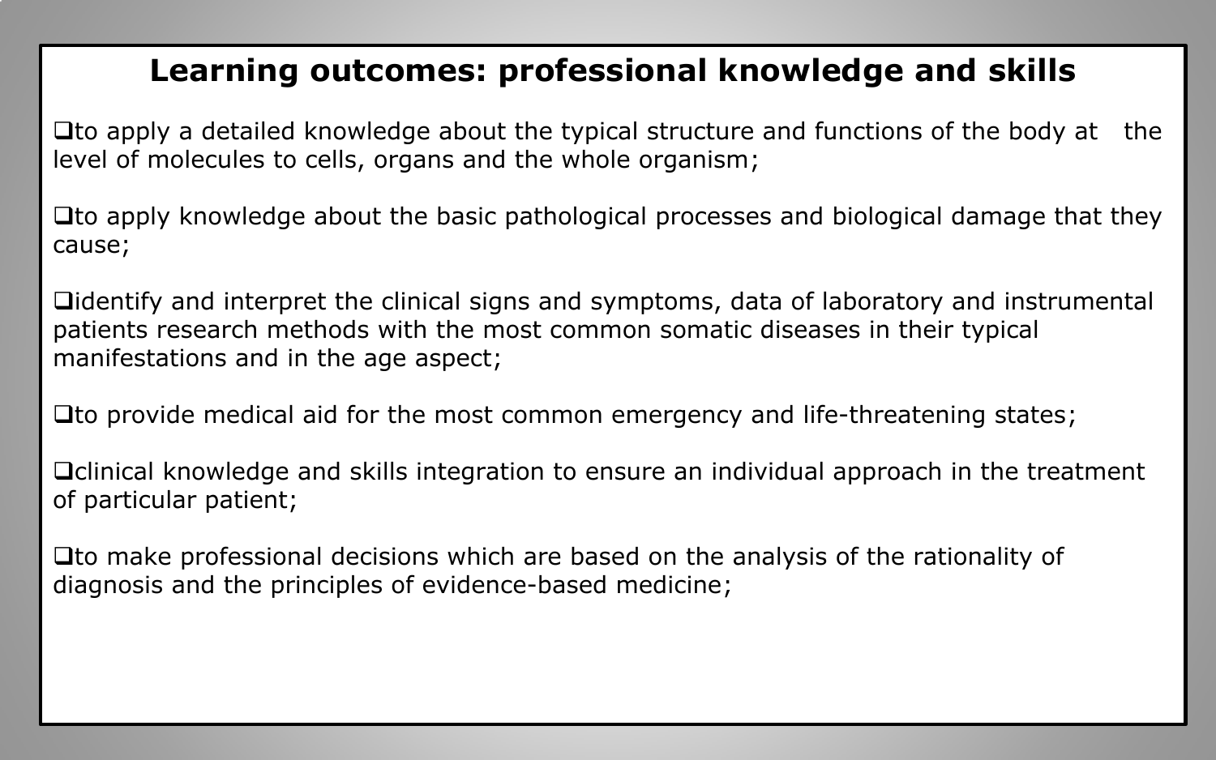## **Learning outcomes: professional knowledge and skills**

 $\Box$  to apply a detailed knowledge about the typical structure and functions of the body at the level of molecules to cells, organs and the whole organism;

 $\Box$  to apply knowledge about the basic pathological processes and biological damage that they cause;

Didentify and interpret the clinical signs and symptoms, data of laboratory and instrumental patients research methods with the most common somatic diseases in their typical manifestations and in the age aspect;

 $\Box$  to provide medical aid for the most common emergency and life-threatening states;

**Quantizal knowledge and skills integration to ensure an individual approach in the treatment** of particular patient;

 $\Box$  to make professional decisions which are based on the analysis of the rationality of diagnosis and the principles of evidence-based medicine;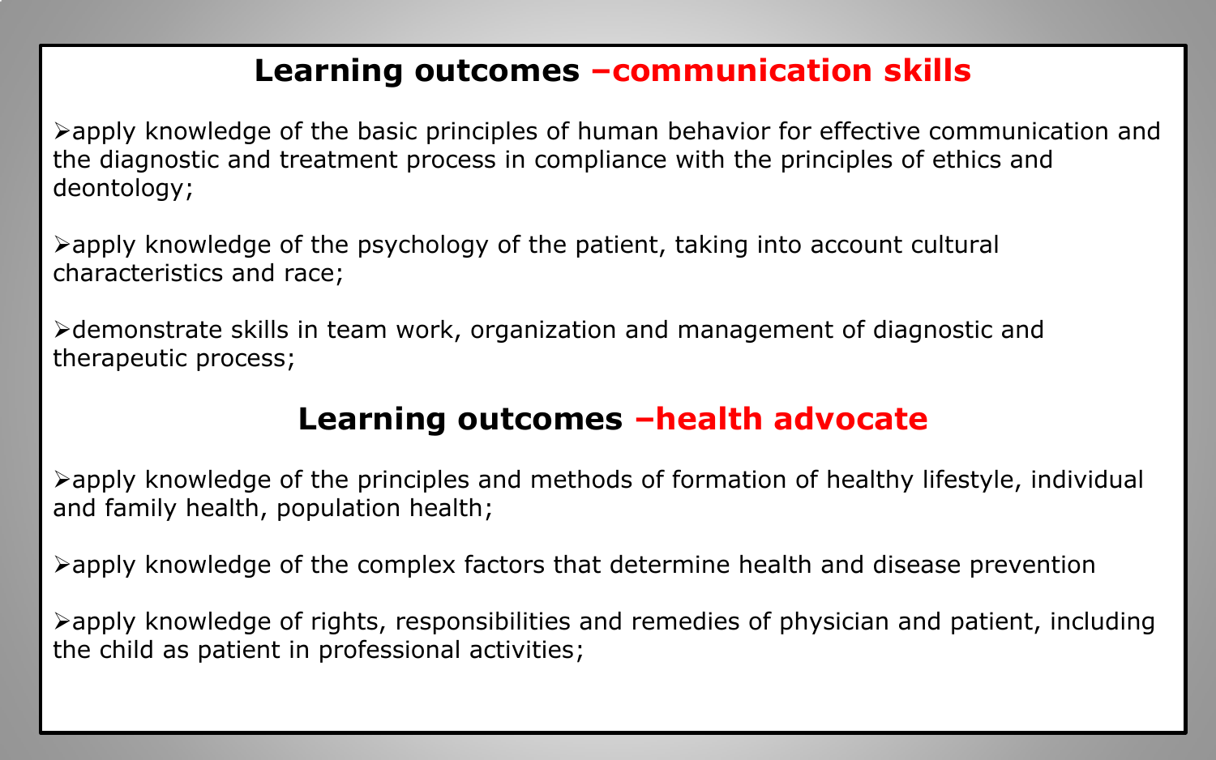#### **Learning outcomes –communication skills**

 $\triangleright$ apply knowledge of the basic principles of human behavior for effective communication and the diagnostic and treatment process in compliance with the principles of ethics and deontology;

 $\triangleright$  apply knowledge of the psychology of the patient, taking into account cultural characteristics and race;

Ødemonstrate skills in team work, organization and management of diagnostic and therapeutic process;

## **Learning outcomes –health advocate**

 $\triangleright$ apply knowledge of the principles and methods of formation of healthy lifestyle, individual and family health, population health;

 $\triangleright$ apply knowledge of the complex factors that determine health and disease prevention

 $\triangleright$ apply knowledge of rights, responsibilities and remedies of physician and patient, including the child as patient in professional activities;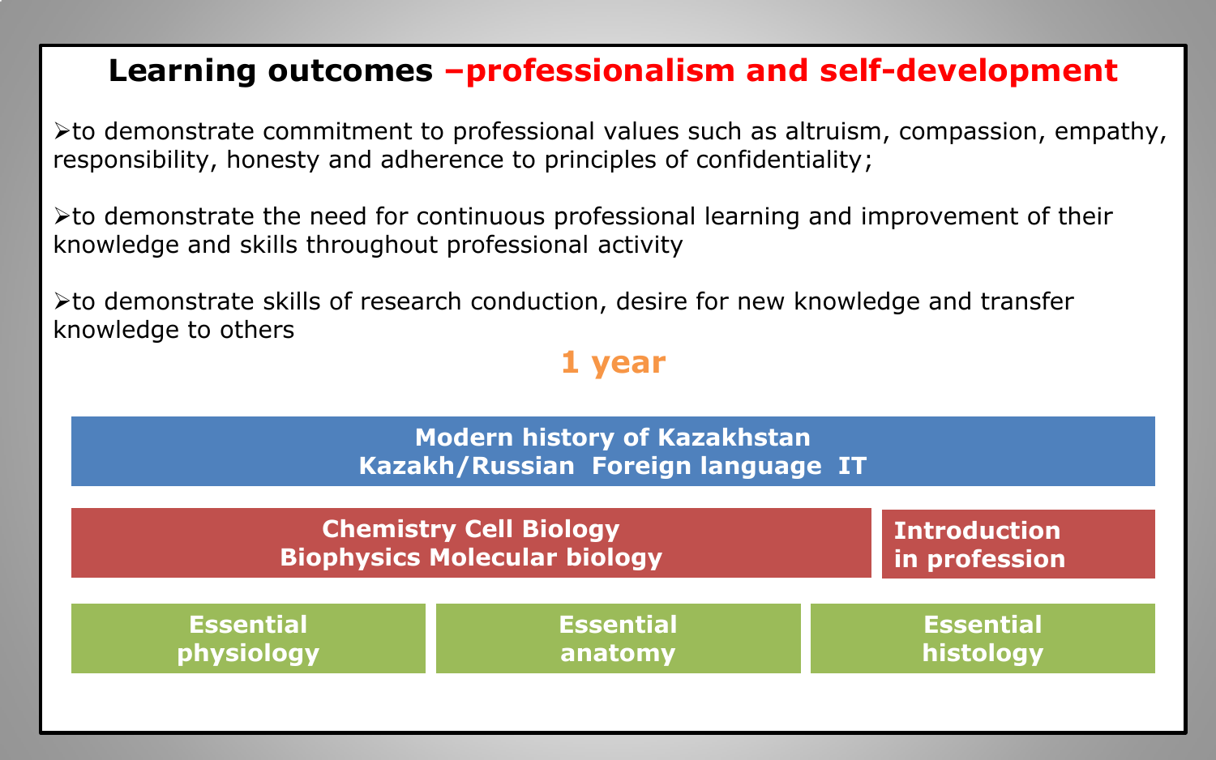#### **Learning outcomes –professionalism and self-development**

 $\triangleright$  to demonstrate commitment to professional values such as altruism, compassion, empathy, responsibility, honesty and adherence to principles of confidentiality;

 $\triangleright$  to demonstrate the need for continuous professional learning and improvement of their knowledge and skills throughout professional activity

 $\triangleright$  to demonstrate skills of research conduction, desire for new knowledge and transfer knowledge to others

#### **1 year**

| <b>Modern history of Kazakhstan</b><br>Kazakh/Russian Foreign language IT |                  |                     |
|---------------------------------------------------------------------------|------------------|---------------------|
| <b>Chemistry Cell Biology</b>                                             |                  | <b>Introduction</b> |
| <b>Biophysics Molecular biology</b>                                       |                  | in profession       |
| <b>Essential</b>                                                          | <b>Essential</b> | <b>Essential</b>    |
| physiology                                                                | anatomy          | histology           |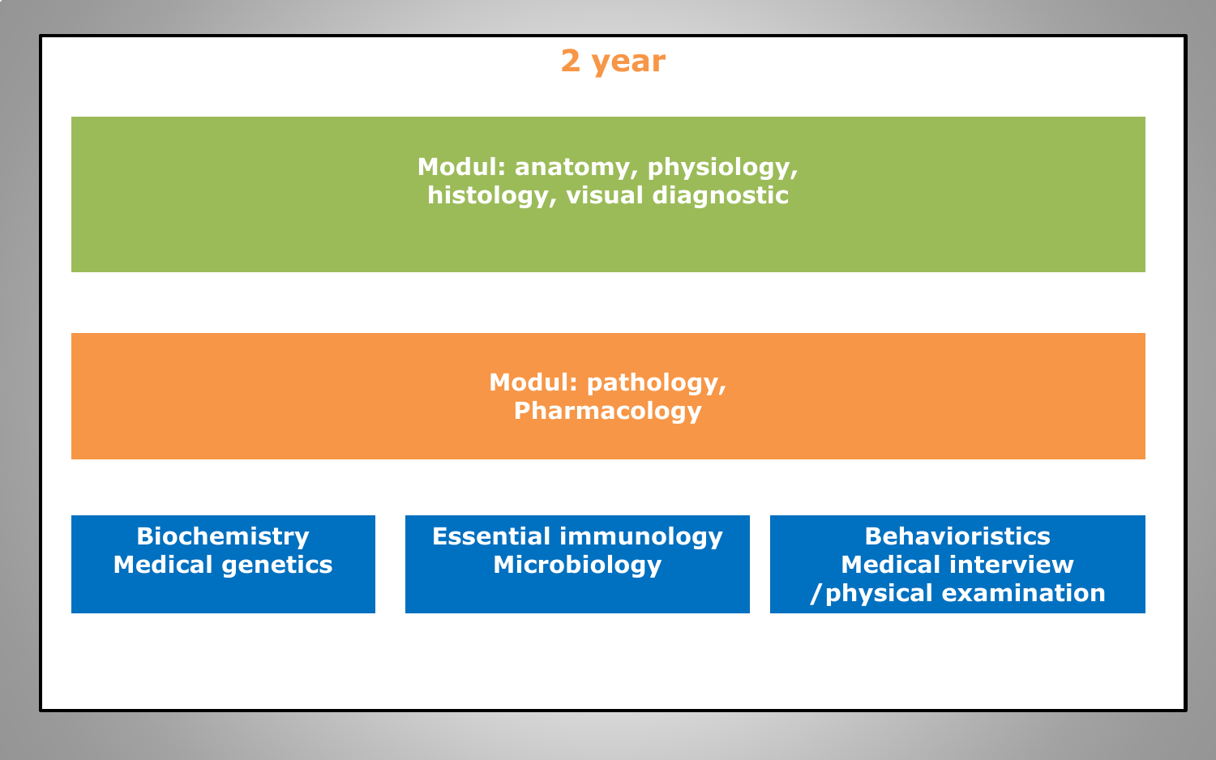**2 year** 

**Modul: anatomy, physiology, histology, visual diagnostic**

> **Modul: pathology, Pharmacology**

**Biochemistry Medical genetics** **Essential immunology Microbiology**

**Behavioristics Medical interview /physical examination**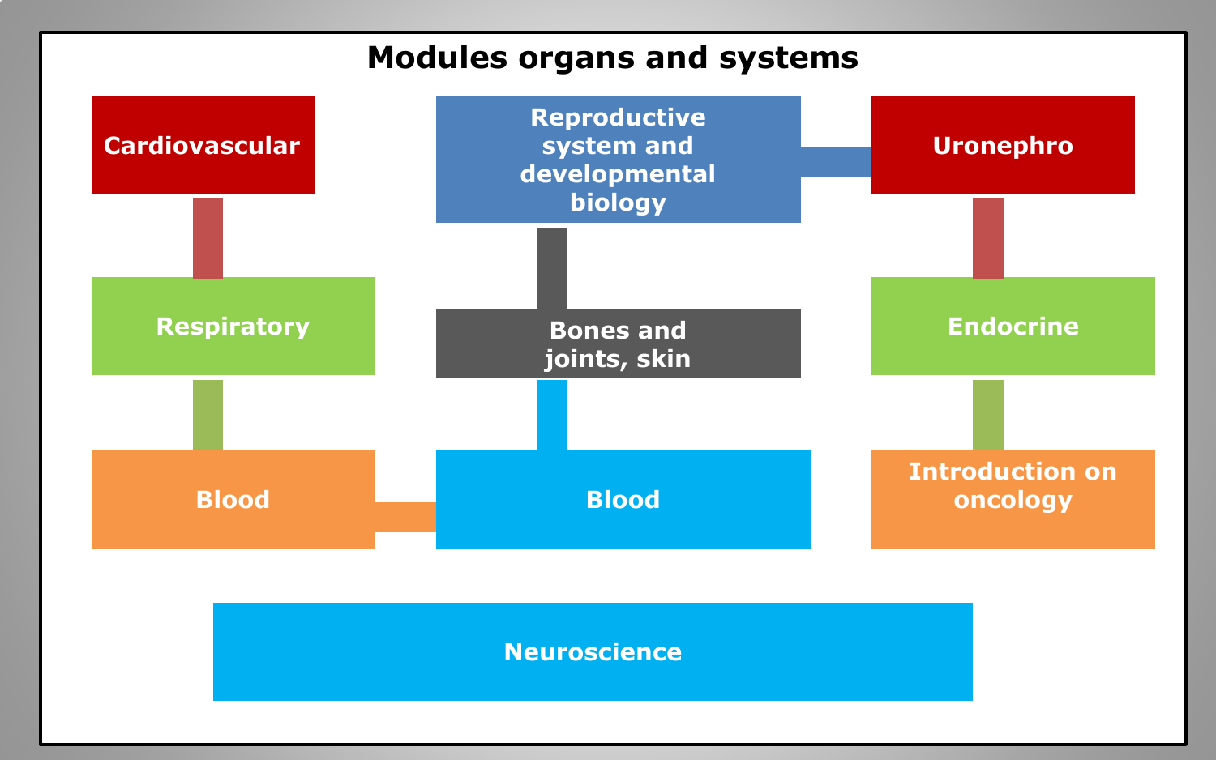#### **Modules organs and systems**

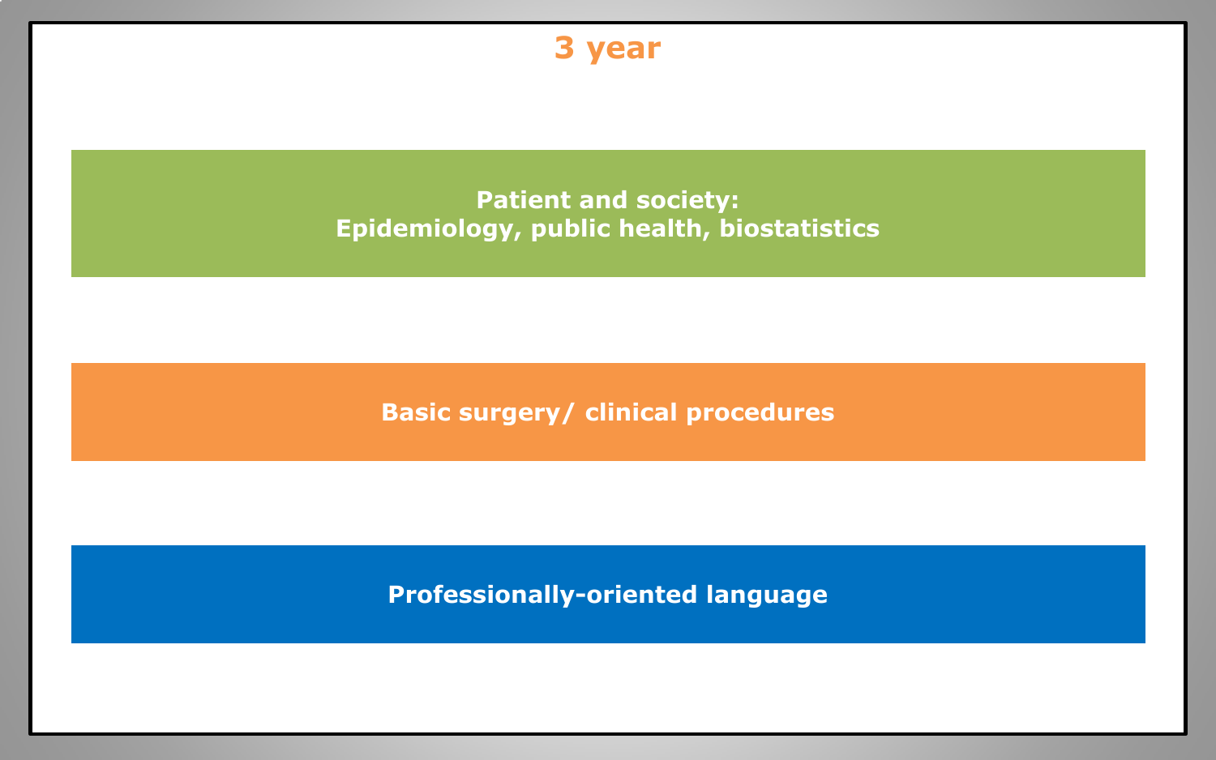

**Professionally-oriented language**

 $\mathcal{L} = \{ \mathcal{L} \mid \mathcal{L} = \mathcal{L} \}$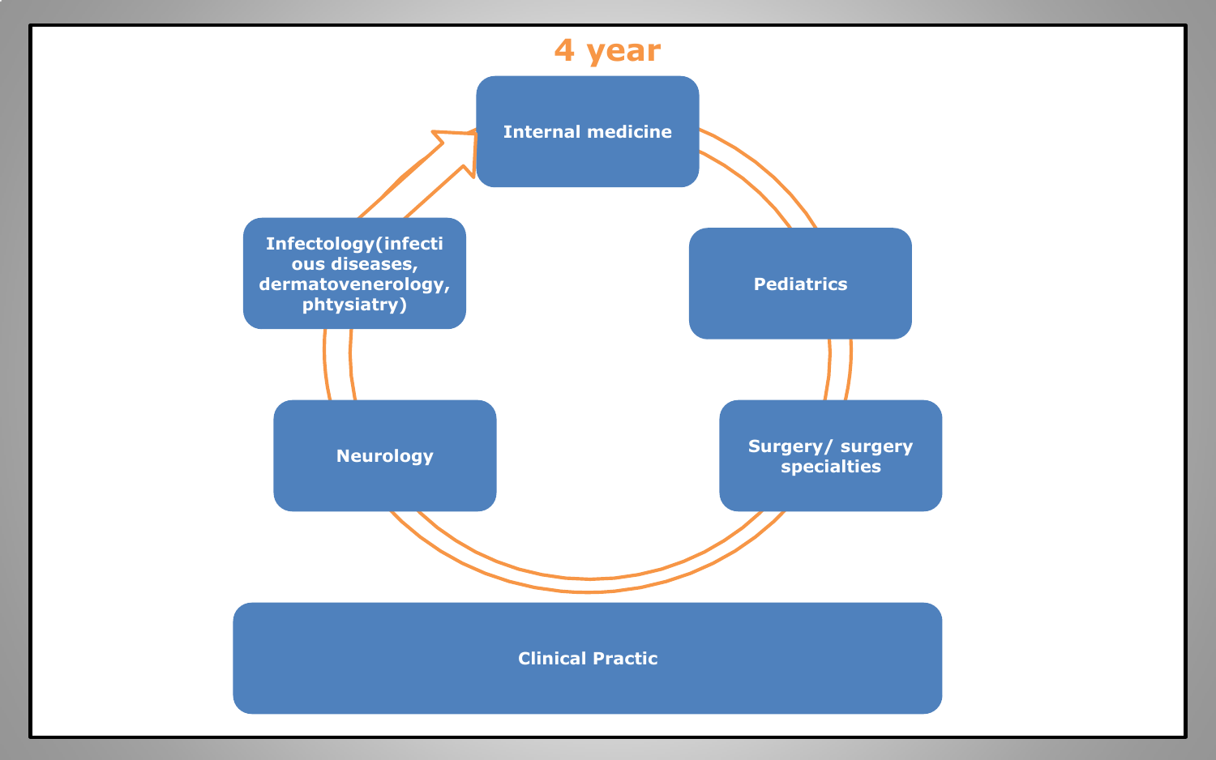